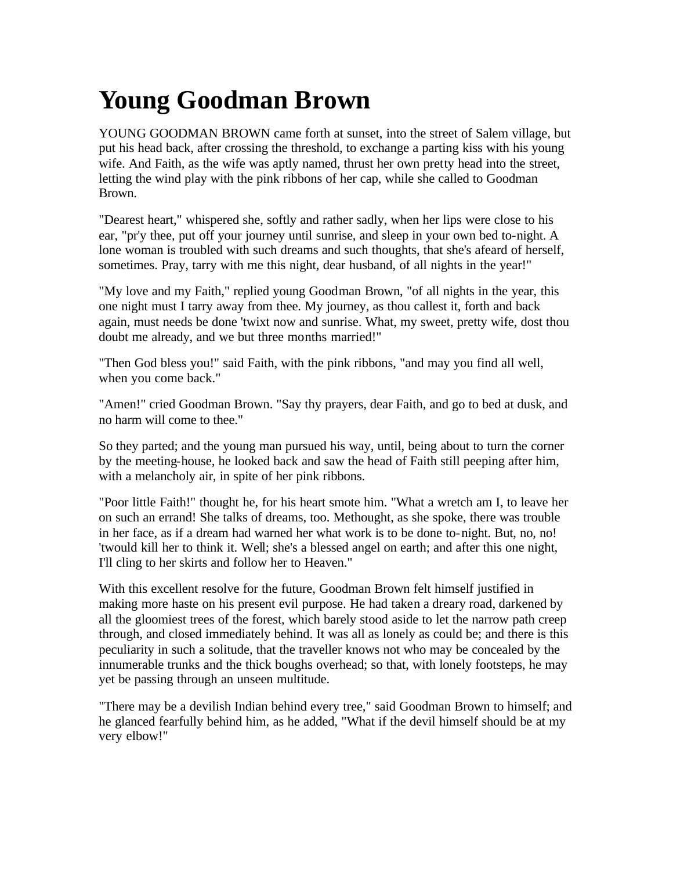## **Young Goodman Brown**

YOUNG GOODMAN BROWN came forth at sunset, into the street of Salem village, but put his head back, after crossing the threshold, to exchange a parting kiss with his young wife. And Faith, as the wife was aptly named, thrust her own pretty head into the street, letting the wind play with the pink ribbons of her cap, while she called to Goodman Brown.

"Dearest heart," whispered she, softly and rather sadly, when her lips were close to his ear, "pr'y thee, put off your journey until sunrise, and sleep in your own bed to-night. A lone woman is troubled with such dreams and such thoughts, that she's afeard of herself, sometimes. Pray, tarry with me this night, dear husband, of all nights in the year!"

"My love and my Faith," replied young Goodman Brown, "of all nights in the year, this one night must I tarry away from thee. My journey, as thou callest it, forth and back again, must needs be done 'twixt now and sunrise. What, my sweet, pretty wife, dost thou doubt me already, and we but three months married!"

"Then God bless you!" said Faith, with the pink ribbons, "and may you find all well, when you come back."

"Amen!" cried Goodman Brown. "Say thy prayers, dear Faith, and go to bed at dusk, and no harm will come to thee."

So they parted; and the young man pursued his way, until, being about to turn the corner by the meeting-house, he looked back and saw the head of Faith still peeping after him, with a melancholy air, in spite of her pink ribbons.

"Poor little Faith!" thought he, for his heart smote him. "What a wretch am I, to leave her on such an errand! She talks of dreams, too. Methought, as she spoke, there was trouble in her face, as if a dream had warned her what work is to be done to-night. But, no, no! 'twould kill her to think it. Well; she's a blessed angel on earth; and after this one night, I'll cling to her skirts and follow her to Heaven."

With this excellent resolve for the future, Goodman Brown felt himself justified in making more haste on his present evil purpose. He had taken a dreary road, darkened by all the gloomiest trees of the forest, which barely stood aside to let the narrow path creep through, and closed immediately behind. It was all as lonely as could be; and there is this peculiarity in such a solitude, that the traveller knows not who may be concealed by the innumerable trunks and the thick boughs overhead; so that, with lonely footsteps, he may yet be passing through an unseen multitude.

"There may be a devilish Indian behind every tree," said Goodman Brown to himself; and he glanced fearfully behind him, as he added, "What if the devil himself should be at my very elbow!"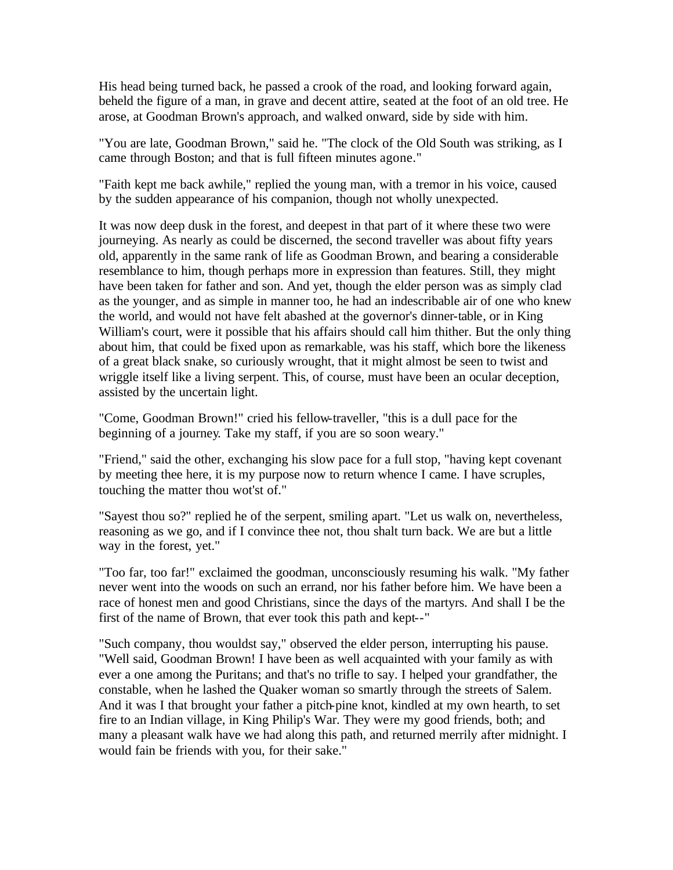His head being turned back, he passed a crook of the road, and looking forward again, beheld the figure of a man, in grave and decent attire, seated at the foot of an old tree. He arose, at Goodman Brown's approach, and walked onward, side by side with him.

"You are late, Goodman Brown," said he. "The clock of the Old South was striking, as I came through Boston; and that is full fifteen minutes agone."

"Faith kept me back awhile," replied the young man, with a tremor in his voice, caused by the sudden appearance of his companion, though not wholly unexpected.

It was now deep dusk in the forest, and deepest in that part of it where these two were journeying. As nearly as could be discerned, the second traveller was about fifty years old, apparently in the same rank of life as Goodman Brown, and bearing a considerable resemblance to him, though perhaps more in expression than features. Still, they might have been taken for father and son. And yet, though the elder person was as simply clad as the younger, and as simple in manner too, he had an indescribable air of one who knew the world, and would not have felt abashed at the governor's dinner-table, or in King William's court, were it possible that his affairs should call him thither. But the only thing about him, that could be fixed upon as remarkable, was his staff, which bore the likeness of a great black snake, so curiously wrought, that it might almost be seen to twist and wriggle itself like a living serpent. This, of course, must have been an ocular deception, assisted by the uncertain light.

"Come, Goodman Brown!" cried his fellow-traveller, "this is a dull pace for the beginning of a journey. Take my staff, if you are so soon weary."

"Friend," said the other, exchanging his slow pace for a full stop, "having kept covenant by meeting thee here, it is my purpose now to return whence I came. I have scruples, touching the matter thou wot'st of."

"Sayest thou so?" replied he of the serpent, smiling apart. "Let us walk on, nevertheless, reasoning as we go, and if I convince thee not, thou shalt turn back. We are but a little way in the forest, yet."

"Too far, too far!" exclaimed the goodman, unconsciously resuming his walk. "My father never went into the woods on such an errand, nor his father before him. We have been a race of honest men and good Christians, since the days of the martyrs. And shall I be the first of the name of Brown, that ever took this path and kept--"

"Such company, thou wouldst say," observed the elder person, interrupting his pause. "Well said, Goodman Brown! I have been as well acquainted with your family as with ever a one among the Puritans; and that's no trifle to say. I helped your grandfather, the constable, when he lashed the Quaker woman so smartly through the streets of Salem. And it was I that brought your father a pitch-pine knot, kindled at my own hearth, to set fire to an Indian village, in King Philip's War. They were my good friends, both; and many a pleasant walk have we had along this path, and returned merrily after midnight. I would fain be friends with you, for their sake."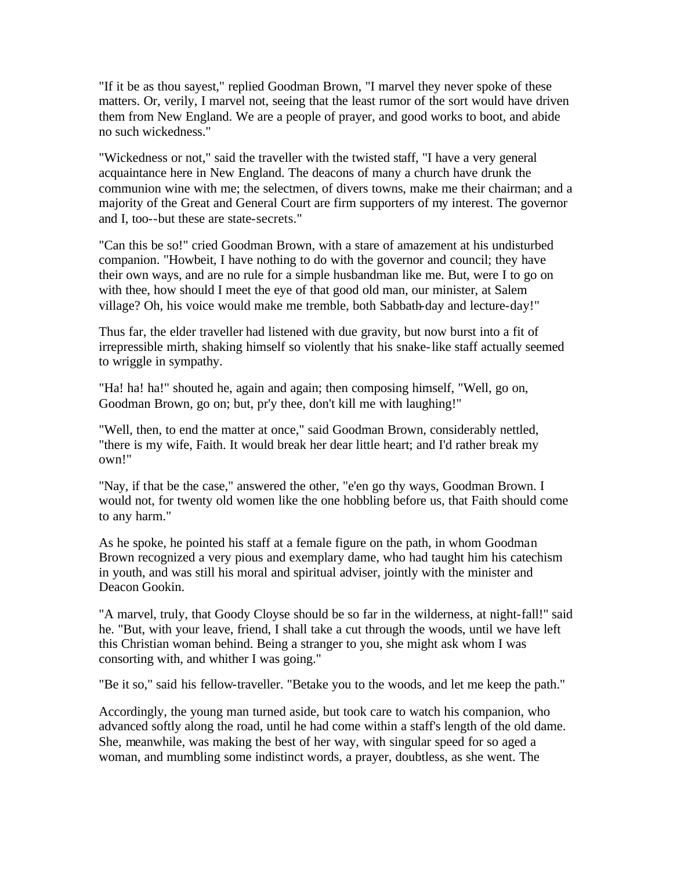"If it be as thou sayest," replied Goodman Brown, "I marvel they never spoke of these matters. Or, verily, I marvel not, seeing that the least rumor of the sort would have driven them from New England. We are a people of prayer, and good works to boot, and abide no such wickedness."

"Wickedness or not," said the traveller with the twisted staff, "I have a very general acquaintance here in New England. The deacons of many a church have drunk the communion wine with me; the selectmen, of divers towns, make me their chairman; and a majority of the Great and General Court are firm supporters of my interest. The governor and I, too--but these are state-secrets."

"Can this be so!" cried Goodman Brown, with a stare of amazement at his undisturbed companion. "Howbeit, I have nothing to do with the governor and council; they have their own ways, and are no rule for a simple husbandman like me. But, were I to go on with thee, how should I meet the eye of that good old man, our minister, at Salem village? Oh, his voice would make me tremble, both Sabbath-day and lecture-day!"

Thus far, the elder traveller had listened with due gravity, but now burst into a fit of irrepressible mirth, shaking himself so violently that his snake-like staff actually seemed to wriggle in sympathy.

"Ha! ha! ha!" shouted he, again and again; then composing himself, "Well, go on, Goodman Brown, go on; but, pr'y thee, don't kill me with laughing!"

"Well, then, to end the matter at once," said Goodman Brown, considerably nettled, "there is my wife, Faith. It would break her dear little heart; and I'd rather break my own!"

"Nay, if that be the case," answered the other, "e'en go thy ways, Goodman Brown. I would not, for twenty old women like the one hobbling before us, that Faith should come to any harm."

As he spoke, he pointed his staff at a female figure on the path, in whom Goodman Brown recognized a very pious and exemplary dame, who had taught him his catechism in youth, and was still his moral and spiritual adviser, jointly with the minister and Deacon Gookin.

"A marvel, truly, that Goody Cloyse should be so far in the wilderness, at night-fall!" said he. "But, with your leave, friend, I shall take a cut through the woods, until we have left this Christian woman behind. Being a stranger to you, she might ask whom I was consorting with, and whither I was going."

"Be it so," said his fellow-traveller. "Betake you to the woods, and let me keep the path."

Accordingly, the young man turned aside, but took care to watch his companion, who advanced softly along the road, until he had come within a staff's length of the old dame. She, meanwhile, was making the best of her way, with singular speed for so aged a woman, and mumbling some indistinct words, a prayer, doubtless, as she went. The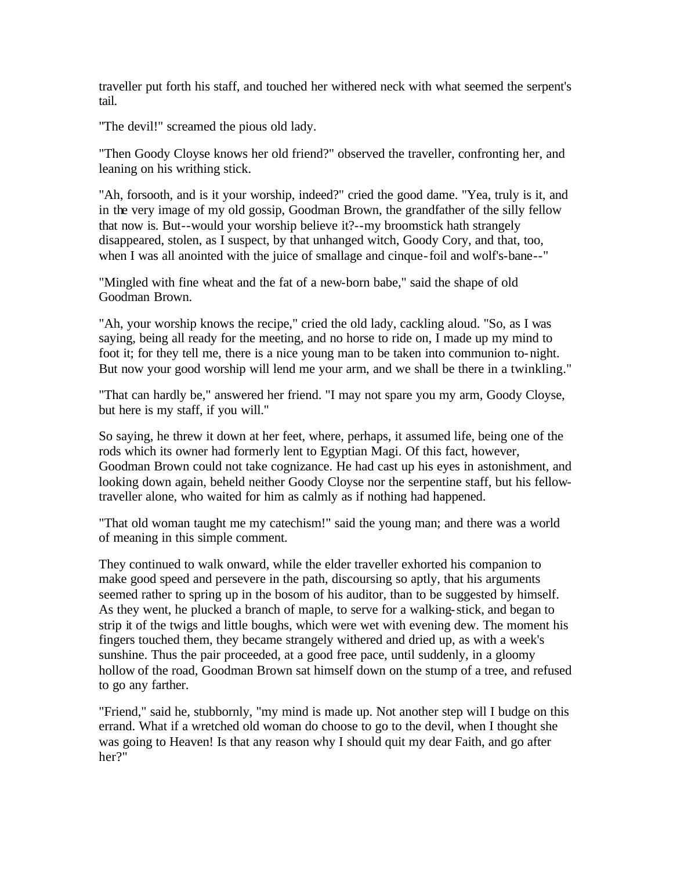traveller put forth his staff, and touched her withered neck with what seemed the serpent's tail.

"The devil!" screamed the pious old lady.

"Then Goody Cloyse knows her old friend?" observed the traveller, confronting her, and leaning on his writhing stick.

"Ah, forsooth, and is it your worship, indeed?" cried the good dame. "Yea, truly is it, and in the very image of my old gossip, Goodman Brown, the grandfather of the silly fellow that now is. But--would your worship believe it?--my broomstick hath strangely disappeared, stolen, as I suspect, by that unhanged witch, Goody Cory, and that, too, when I was all anointed with the juice of smallage and cinque-foil and wolf's-bane--"

"Mingled with fine wheat and the fat of a new-born babe," said the shape of old Goodman Brown.

"Ah, your worship knows the recipe," cried the old lady, cackling aloud. "So, as I was saying, being all ready for the meeting, and no horse to ride on, I made up my mind to foot it; for they tell me, there is a nice young man to be taken into communion to-night. But now your good worship will lend me your arm, and we shall be there in a twinkling."

"That can hardly be," answered her friend. "I may not spare you my arm, Goody Cloyse, but here is my staff, if you will."

So saying, he threw it down at her feet, where, perhaps, it assumed life, being one of the rods which its owner had formerly lent to Egyptian Magi. Of this fact, however, Goodman Brown could not take cognizance. He had cast up his eyes in astonishment, and looking down again, beheld neither Goody Cloyse nor the serpentine staff, but his fellowtraveller alone, who waited for him as calmly as if nothing had happened.

"That old woman taught me my catechism!" said the young man; and there was a world of meaning in this simple comment.

They continued to walk onward, while the elder traveller exhorted his companion to make good speed and persevere in the path, discoursing so aptly, that his arguments seemed rather to spring up in the bosom of his auditor, than to be suggested by himself. As they went, he plucked a branch of maple, to serve for a walking-stick, and began to strip it of the twigs and little boughs, which were wet with evening dew. The moment his fingers touched them, they became strangely withered and dried up, as with a week's sunshine. Thus the pair proceeded, at a good free pace, until suddenly, in a gloomy hollow of the road, Goodman Brown sat himself down on the stump of a tree, and refused to go any farther.

"Friend," said he, stubbornly, "my mind is made up. Not another step will I budge on this errand. What if a wretched old woman do choose to go to the devil, when I thought she was going to Heaven! Is that any reason why I should quit my dear Faith, and go after her?"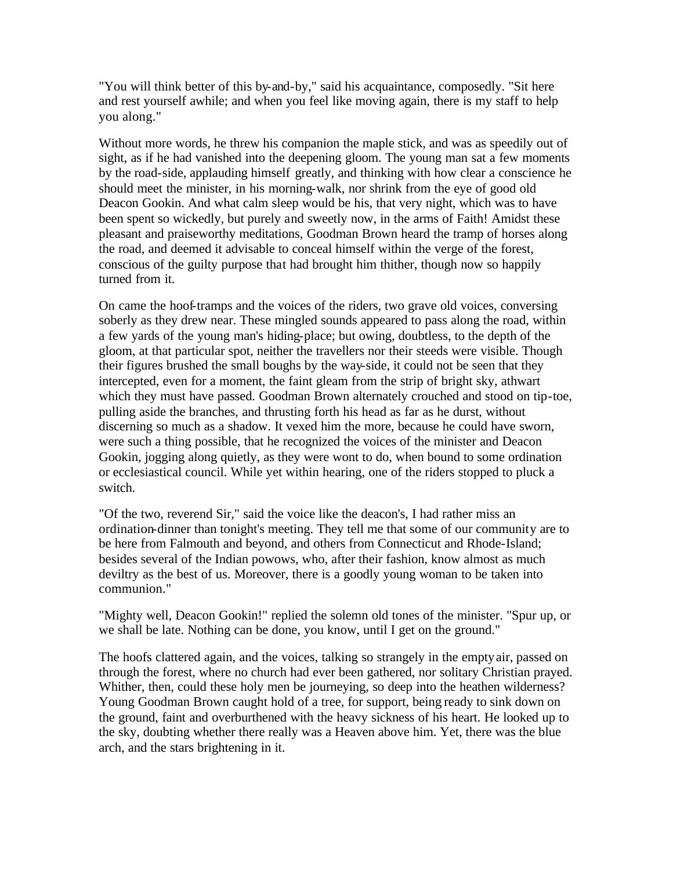"You will think better of this by-and-by," said his acquaintance, composedly. "Sit here and rest yourself awhile; and when you feel like moving again, there is my staff to help you along."

Without more words, he threw his companion the maple stick, and was as speedily out of sight, as if he had vanished into the deepening gloom. The young man sat a few moments by the road-side, applauding himself greatly, and thinking with how clear a conscience he should meet the minister, in his morning-walk, nor shrink from the eye of good old Deacon Gookin. And what calm sleep would be his, that very night, which was to have been spent so wickedly, but purely and sweetly now, in the arms of Faith! Amidst these pleasant and praiseworthy meditations, Goodman Brown heard the tramp of horses along the road, and deemed it advisable to conceal himself within the verge of the forest, conscious of the guilty purpose that had brought him thither, though now so happily turned from it.

On came the hoof-tramps and the voices of the riders, two grave old voices, conversing soberly as they drew near. These mingled sounds appeared to pass along the road, within a few yards of the young man's hiding-place; but owing, doubtless, to the depth of the gloom, at that particular spot, neither the travellers nor their steeds were visible. Though their figures brushed the small boughs by the way-side, it could not be seen that they intercepted, even for a moment, the faint gleam from the strip of bright sky, athwart which they must have passed. Goodman Brown alternately crouched and stood on tip-toe, pulling aside the branches, and thrusting forth his head as far as he durst, without discerning so much as a shadow. It vexed him the more, because he could have sworn, were such a thing possible, that he recognized the voices of the minister and Deacon Gookin, jogging along quietly, as they were wont to do, when bound to some ordination or ecclesiastical council. While yet within hearing, one of the riders stopped to pluck a switch.

"Of the two, reverend Sir," said the voice like the deacon's, I had rather miss an ordination-dinner than tonight's meeting. They tell me that some of our community are to be here from Falmouth and beyond, and others from Connecticut and Rhode-Island; besides several of the Indian powows, who, after their fashion, know almost as much deviltry as the best of us. Moreover, there is a goodly young woman to be taken into communion."

"Mighty well, Deacon Gookin!" replied the solemn old tones of the minister. "Spur up, or we shall be late. Nothing can be done, you know, until I get on the ground."

The hoofs clattered again, and the voices, talking so strangely in the empty air, passed on through the forest, where no church had ever been gathered, nor solitary Christian prayed. Whither, then, could these holy men be journeying, so deep into the heathen wilderness? Young Goodman Brown caught hold of a tree, for support, being ready to sink down on the ground, faint and overburthened with the heavy sickness of his heart. He looked up to the sky, doubting whether there really was a Heaven above him. Yet, there was the blue arch, and the stars brightening in it.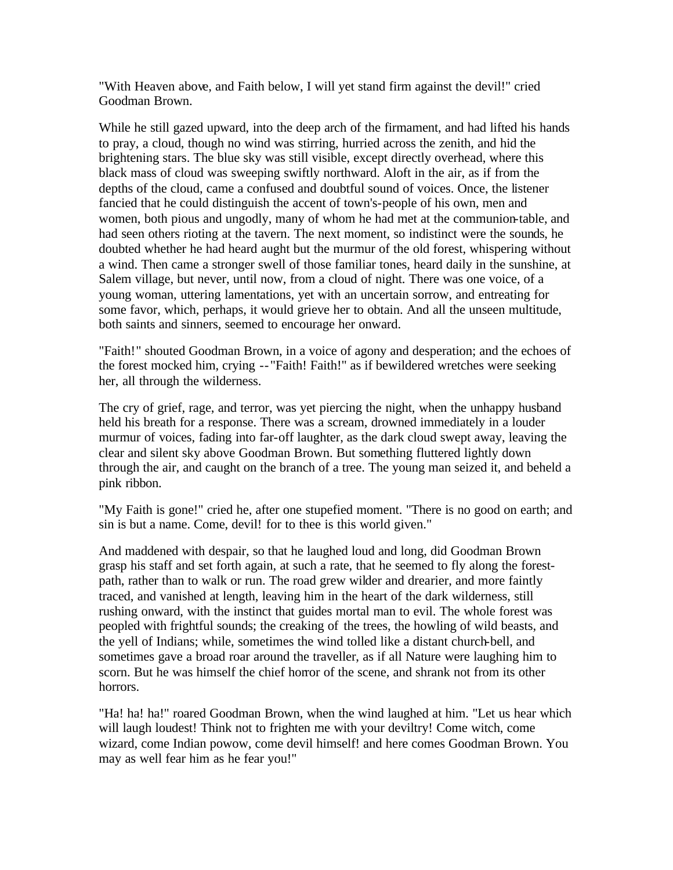"With Heaven above, and Faith below, I will yet stand firm against the devil!" cried Goodman Brown.

While he still gazed upward, into the deep arch of the firmament, and had lifted his hands to pray, a cloud, though no wind was stirring, hurried across the zenith, and hid the brightening stars. The blue sky was still visible, except directly overhead, where this black mass of cloud was sweeping swiftly northward. Aloft in the air, as if from the depths of the cloud, came a confused and doubtful sound of voices. Once, the listener fancied that he could distinguish the accent of town's-people of his own, men and women, both pious and ungodly, many of whom he had met at the communion-table, and had seen others rioting at the tavern. The next moment, so indistinct were the sounds, he doubted whether he had heard aught but the murmur of the old forest, whispering without a wind. Then came a stronger swell of those familiar tones, heard daily in the sunshine, at Salem village, but never, until now, from a cloud of night. There was one voice, of a young woman, uttering lamentations, yet with an uncertain sorrow, and entreating for some favor, which, perhaps, it would grieve her to obtain. And all the unseen multitude, both saints and sinners, seemed to encourage her onward.

"Faith!" shouted Goodman Brown, in a voice of agony and desperation; and the echoes of the forest mocked him, crying -- "Faith! Faith!" as if bewildered wretches were seeking her, all through the wilderness.

The cry of grief, rage, and terror, was yet piercing the night, when the unhappy husband held his breath for a response. There was a scream, drowned immediately in a louder murmur of voices, fading into far-off laughter, as the dark cloud swept away, leaving the clear and silent sky above Goodman Brown. But something fluttered lightly down through the air, and caught on the branch of a tree. The young man seized it, and beheld a pink ribbon.

"My Faith is gone!" cried he, after one stupefied moment. "There is no good on earth; and sin is but a name. Come, devil! for to thee is this world given."

And maddened with despair, so that he laughed loud and long, did Goodman Brown grasp his staff and set forth again, at such a rate, that he seemed to fly along the forestpath, rather than to walk or run. The road grew wilder and drearier, and more faintly traced, and vanished at length, leaving him in the heart of the dark wilderness, still rushing onward, with the instinct that guides mortal man to evil. The whole forest was peopled with frightful sounds; the creaking of the trees, the howling of wild beasts, and the yell of Indians; while, sometimes the wind tolled like a distant church-bell, and sometimes gave a broad roar around the traveller, as if all Nature were laughing him to scorn. But he was himself the chief horror of the scene, and shrank not from its other horrors.

"Ha! ha! ha!" roared Goodman Brown, when the wind laughed at him. "Let us hear which will laugh loudest! Think not to frighten me with your deviltry! Come witch, come wizard, come Indian powow, come devil himself! and here comes Goodman Brown. You may as well fear him as he fear you!"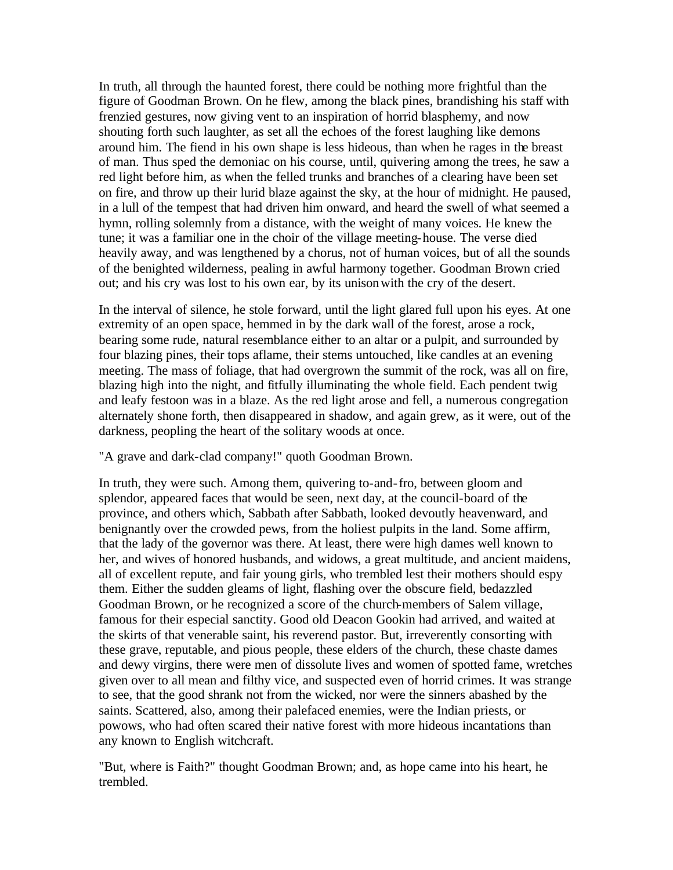In truth, all through the haunted forest, there could be nothing more frightful than the figure of Goodman Brown. On he flew, among the black pines, brandishing his staff with frenzied gestures, now giving vent to an inspiration of horrid blasphemy, and now shouting forth such laughter, as set all the echoes of the forest laughing like demons around him. The fiend in his own shape is less hideous, than when he rages in the breast of man. Thus sped the demoniac on his course, until, quivering among the trees, he saw a red light before him, as when the felled trunks and branches of a clearing have been set on fire, and throw up their lurid blaze against the sky, at the hour of midnight. He paused, in a lull of the tempest that had driven him onward, and heard the swell of what seemed a hymn, rolling solemnly from a distance, with the weight of many voices. He knew the tune; it was a familiar one in the choir of the village meeting-house. The verse died heavily away, and was lengthened by a chorus, not of human voices, but of all the sounds of the benighted wilderness, pealing in awful harmony together. Goodman Brown cried out; and his cry was lost to his own ear, by its unison with the cry of the desert.

In the interval of silence, he stole forward, until the light glared full upon his eyes. At one extremity of an open space, hemmed in by the dark wall of the forest, arose a rock, bearing some rude, natural resemblance either to an altar or a pulpit, and surrounded by four blazing pines, their tops aflame, their stems untouched, like candles at an evening meeting. The mass of foliage, that had overgrown the summit of the rock, was all on fire, blazing high into the night, and fitfully illuminating the whole field. Each pendent twig and leafy festoon was in a blaze. As the red light arose and fell, a numerous congregation alternately shone forth, then disappeared in shadow, and again grew, as it were, out of the darkness, peopling the heart of the solitary woods at once.

"A grave and dark-clad company!" quoth Goodman Brown.

In truth, they were such. Among them, quivering to-and-fro, between gloom and splendor, appeared faces that would be seen, next day, at the council-board of the province, and others which, Sabbath after Sabbath, looked devoutly heavenward, and benignantly over the crowded pews, from the holiest pulpits in the land. Some affirm, that the lady of the governor was there. At least, there were high dames well known to her, and wives of honored husbands, and widows, a great multitude, and ancient maidens, all of excellent repute, and fair young girls, who trembled lest their mothers should espy them. Either the sudden gleams of light, flashing over the obscure field, bedazzled Goodman Brown, or he recognized a score of the church-members of Salem village, famous for their especial sanctity. Good old Deacon Gookin had arrived, and waited at the skirts of that venerable saint, his reverend pastor. But, irreverently consorting with these grave, reputable, and pious people, these elders of the church, these chaste dames and dewy virgins, there were men of dissolute lives and women of spotted fame, wretches given over to all mean and filthy vice, and suspected even of horrid crimes. It was strange to see, that the good shrank not from the wicked, nor were the sinners abashed by the saints. Scattered, also, among their palefaced enemies, were the Indian priests, or powows, who had often scared their native forest with more hideous incantations than any known to English witchcraft.

"But, where is Faith?" thought Goodman Brown; and, as hope came into his heart, he trembled.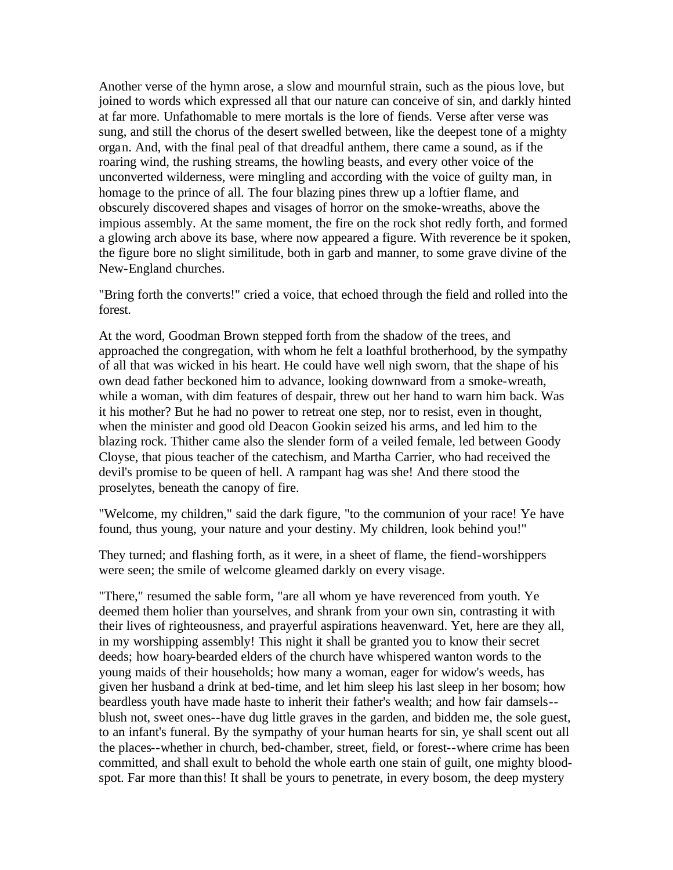Another verse of the hymn arose, a slow and mournful strain, such as the pious love, but joined to words which expressed all that our nature can conceive of sin, and darkly hinted at far more. Unfathomable to mere mortals is the lore of fiends. Verse after verse was sung, and still the chorus of the desert swelled between, like the deepest tone of a mighty organ. And, with the final peal of that dreadful anthem, there came a sound, as if the roaring wind, the rushing streams, the howling beasts, and every other voice of the unconverted wilderness, were mingling and according with the voice of guilty man, in homage to the prince of all. The four blazing pines threw up a loftier flame, and obscurely discovered shapes and visages of horror on the smoke-wreaths, above the impious assembly. At the same moment, the fire on the rock shot redly forth, and formed a glowing arch above its base, where now appeared a figure. With reverence be it spoken, the figure bore no slight similitude, both in garb and manner, to some grave divine of the New-England churches.

"Bring forth the converts!" cried a voice, that echoed through the field and rolled into the forest.

At the word, Goodman Brown stepped forth from the shadow of the trees, and approached the congregation, with whom he felt a loathful brotherhood, by the sympathy of all that was wicked in his heart. He could have well nigh sworn, that the shape of his own dead father beckoned him to advance, looking downward from a smoke-wreath, while a woman, with dim features of despair, threw out her hand to warn him back. Was it his mother? But he had no power to retreat one step, nor to resist, even in thought, when the minister and good old Deacon Gookin seized his arms, and led him to the blazing rock. Thither came also the slender form of a veiled female, led between Goody Cloyse, that pious teacher of the catechism, and Martha Carrier, who had received the devil's promise to be queen of hell. A rampant hag was she! And there stood the proselytes, beneath the canopy of fire.

"Welcome, my children," said the dark figure, "to the communion of your race! Ye have found, thus young, your nature and your destiny. My children, look behind you!"

They turned; and flashing forth, as it were, in a sheet of flame, the fiend-worshippers were seen; the smile of welcome gleamed darkly on every visage.

"There," resumed the sable form, "are all whom ye have reverenced from youth. Ye deemed them holier than yourselves, and shrank from your own sin, contrasting it with their lives of righteousness, and prayerful aspirations heavenward. Yet, here are they all, in my worshipping assembly! This night it shall be granted you to know their secret deeds; how hoary-bearded elders of the church have whispered wanton words to the young maids of their households; how many a woman, eager for widow's weeds, has given her husband a drink at bed-time, and let him sleep his last sleep in her bosom; how beardless youth have made haste to inherit their father's wealth; and how fair damsels- blush not, sweet ones--have dug little graves in the garden, and bidden me, the sole guest, to an infant's funeral. By the sympathy of your human hearts for sin, ye shall scent out all the places--whether in church, bed-chamber, street, field, or forest--where crime has been committed, and shall exult to behold the whole earth one stain of guilt, one mighty bloodspot. Far more than this! It shall be yours to penetrate, in every bosom, the deep mystery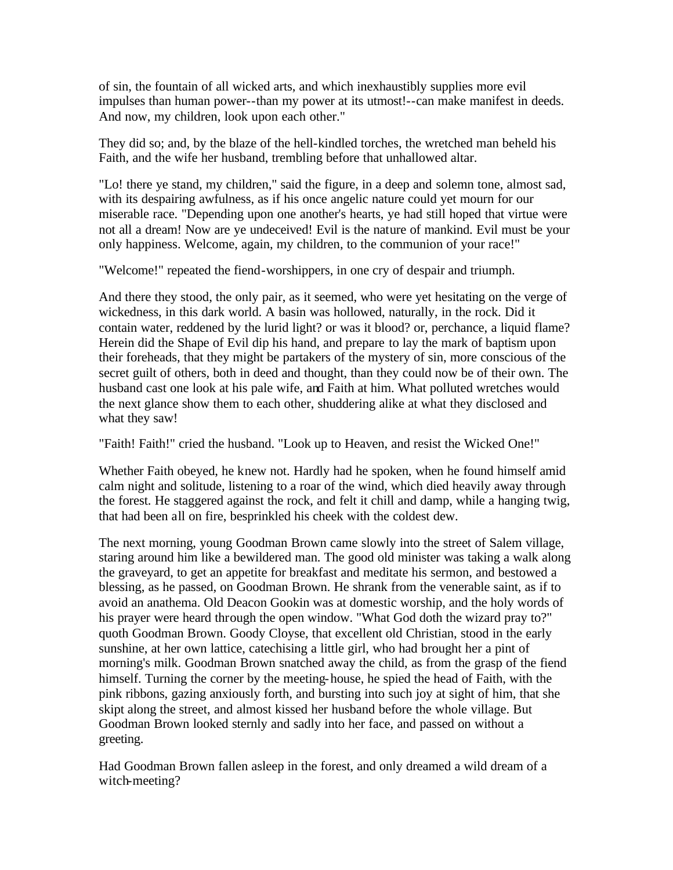of sin, the fountain of all wicked arts, and which inexhaustibly supplies more evil impulses than human power--than my power at its utmost!--can make manifest in deeds. And now, my children, look upon each other."

They did so; and, by the blaze of the hell-kindled torches, the wretched man beheld his Faith, and the wife her husband, trembling before that unhallowed altar.

"Lo! there ye stand, my children," said the figure, in a deep and solemn tone, almost sad, with its despairing awfulness, as if his once angelic nature could yet mourn for our miserable race. "Depending upon one another's hearts, ye had still hoped that virtue were not all a dream! Now are ye undeceived! Evil is the nature of mankind. Evil must be your only happiness. Welcome, again, my children, to the communion of your race!"

"Welcome!" repeated the fiend-worshippers, in one cry of despair and triumph.

And there they stood, the only pair, as it seemed, who were yet hesitating on the verge of wickedness, in this dark world. A basin was hollowed, naturally, in the rock. Did it contain water, reddened by the lurid light? or was it blood? or, perchance, a liquid flame? Herein did the Shape of Evil dip his hand, and prepare to lay the mark of baptism upon their foreheads, that they might be partakers of the mystery of sin, more conscious of the secret guilt of others, both in deed and thought, than they could now be of their own. The husband cast one look at his pale wife, and Faith at him. What polluted wretches would the next glance show them to each other, shuddering alike at what they disclosed and what they saw!

"Faith! Faith!" cried the husband. "Look up to Heaven, and resist the Wicked One!"

Whether Faith obeyed, he knew not. Hardly had he spoken, when he found himself amid calm night and solitude, listening to a roar of the wind, which died heavily away through the forest. He staggered against the rock, and felt it chill and damp, while a hanging twig, that had been all on fire, besprinkled his cheek with the coldest dew.

The next morning, young Goodman Brown came slowly into the street of Salem village, staring around him like a bewildered man. The good old minister was taking a walk along the graveyard, to get an appetite for breakfast and meditate his sermon, and bestowed a blessing, as he passed, on Goodman Brown. He shrank from the venerable saint, as if to avoid an anathema. Old Deacon Gookin was at domestic worship, and the holy words of his prayer were heard through the open window. "What God doth the wizard pray to?" quoth Goodman Brown. Goody Cloyse, that excellent old Christian, stood in the early sunshine, at her own lattice, catechising a little girl, who had brought her a pint of morning's milk. Goodman Brown snatched away the child, as from the grasp of the fiend himself. Turning the corner by the meeting-house, he spied the head of Faith, with the pink ribbons, gazing anxiously forth, and bursting into such joy at sight of him, that she skipt along the street, and almost kissed her husband before the whole village. But Goodman Brown looked sternly and sadly into her face, and passed on without a greeting.

Had Goodman Brown fallen asleep in the forest, and only dreamed a wild dream of a witch-meeting?